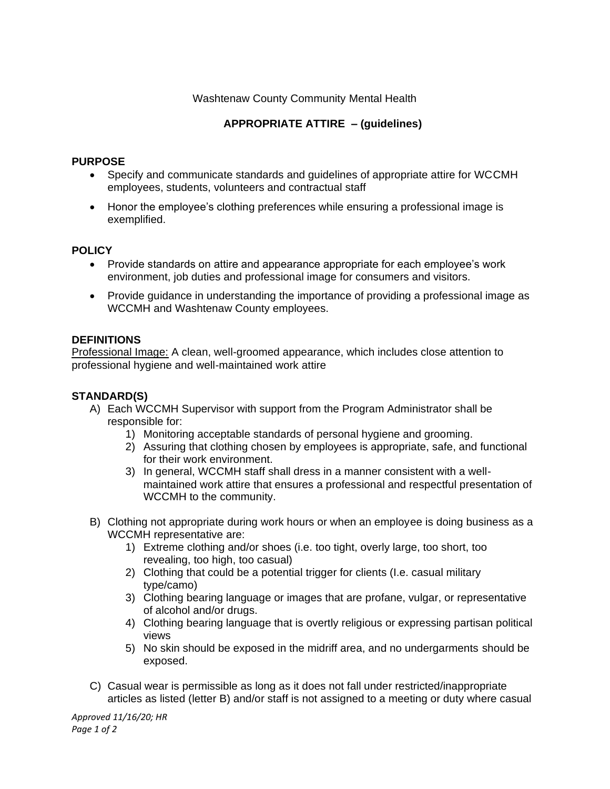## Washtenaw County Community Mental Health

# **APPROPRIATE ATTIRE – (guidelines)**

### **PURPOSE**

- Specify and communicate standards and guidelines of appropriate attire for WCCMH employees, students, volunteers and contractual staff
- Honor the employee's clothing preferences while ensuring a professional image is exemplified.

#### **POLICY**

- Provide standards on attire and appearance appropriate for each employee's work environment, job duties and professional image for consumers and visitors.
- Provide guidance in understanding the importance of providing a professional image as WCCMH and Washtenaw County employees.

#### **DEFINITIONS**

Professional Image: A clean, well-groomed appearance, which includes close attention to professional hygiene and well-maintained work attire

#### **STANDARD(S)**

- A) Each WCCMH Supervisor with support from the Program Administrator shall be responsible for:
	- 1) Monitoring acceptable standards of personal hygiene and grooming.
	- 2) Assuring that clothing chosen by employees is appropriate, safe, and functional for their work environment.
	- 3) In general, WCCMH staff shall dress in a manner consistent with a wellmaintained work attire that ensures a professional and respectful presentation of WCCMH to the community.
- B) Clothing not appropriate during work hours or when an employee is doing business as a WCCMH representative are:
	- 1) Extreme clothing and/or shoes (i.e. too tight, overly large, too short, too revealing, too high, too casual)
	- 2) Clothing that could be a potential trigger for clients (I.e. casual military type/camo)
	- 3) Clothing bearing language or images that are profane, vulgar, or representative of alcohol and/or drugs.
	- 4) Clothing bearing language that is overtly religious or expressing partisan political views
	- 5) No skin should be exposed in the midriff area, and no undergarments should be exposed.
- C) Casual wear is permissible as long as it does not fall under restricted/inappropriate articles as listed (letter B) and/or staff is not assigned to a meeting or duty where casual

*Approved 11/16/20; HR Page 1 of 2*